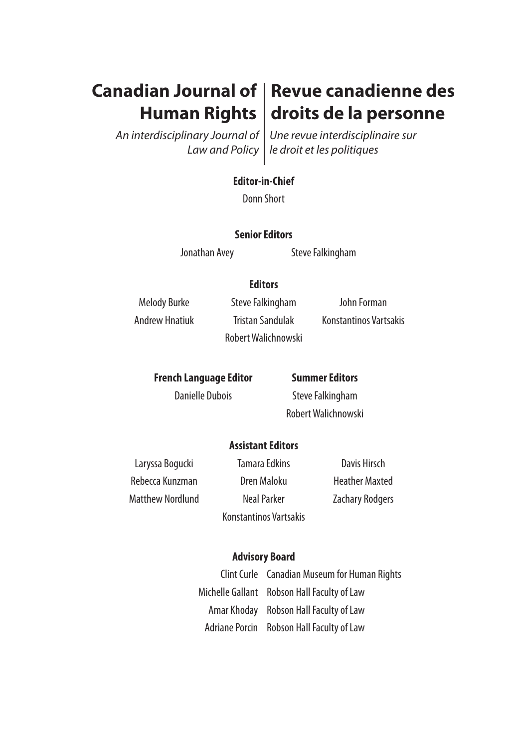# **Canadian Journal of Revue canadienne des Human Rights**

*An interdisciplinary Journal of Law and Policy*

*Une revue interdisciplinaire sur le droit et les politiques*

**droits de la personne**

## **Editor-in-Chief**

Donn Short

### **Senior Editors**

Jonathan Avey Steve Falkingham

## **Editors**

Melody Burke Steve Falkingham John Forman Robert Walichnowski

Andrew Hnatiuk Tristan Sandulak Konstantinos Vartsakis

**French Language Editor Summer Editors**

Danielle Dubois Steve Falkingham Robert Walichnowski

## **Assistant Editors**

Rebecca Kunzman **Dren Maloku** Heather Maxted Matthew Nordlund Neal Parker **Neal Parker** Zachary Rodgers

Laryssa Bogucki **Tamara Edkins** Davis Hirsch Konstantinos Vartsakis

## **Advisory Board**

Clint Curle Canadian Museum for Human Rights Michelle Gallant Robson Hall Faculty of Law Amar Khoday Robson Hall Faculty of Law Adriane Porcin Robson Hall Faculty of Law